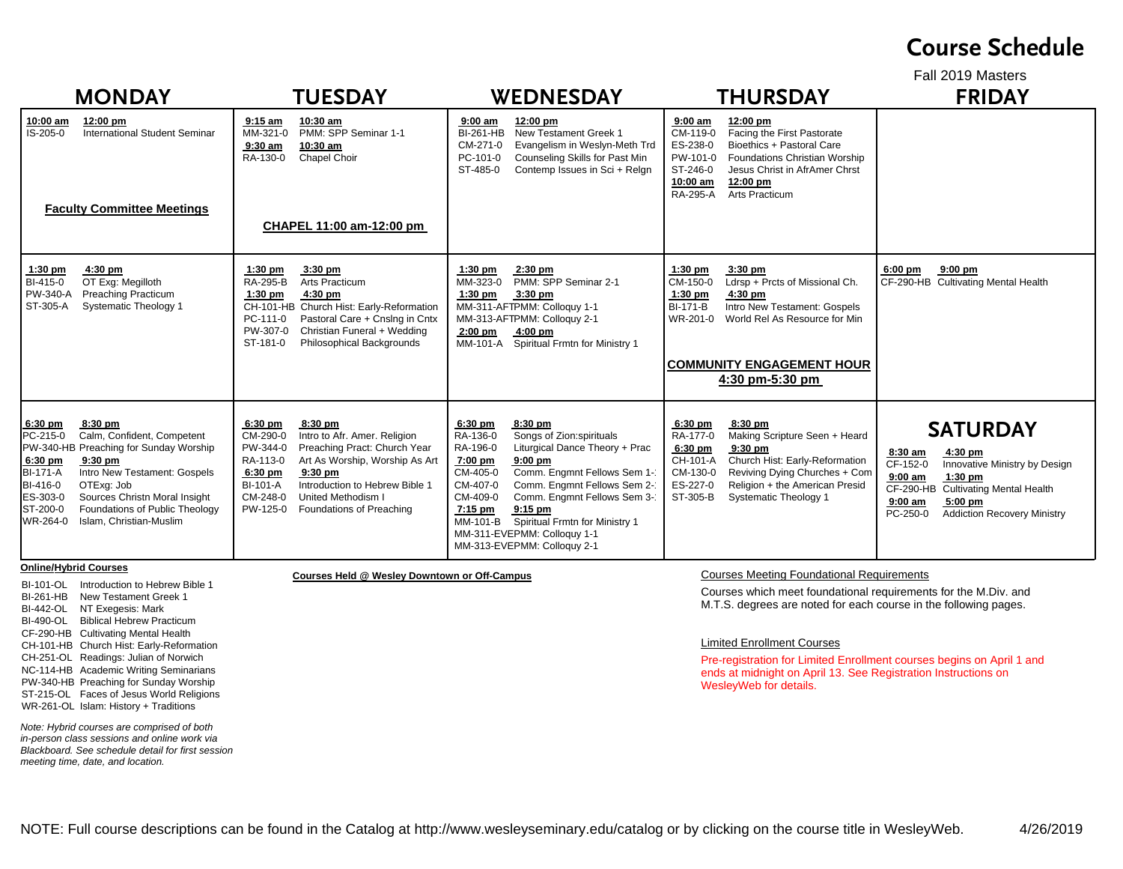## **Course Schedule**

Fall 2019 Masters

| <b>MONDAY</b>                                                                                                                                                                                                                                                                                                                                   | <b>TUESDAY</b>                                                                                                                                                                                                                                                                                                    | <b>WEDNESDAY</b>                                                                                                                                                                                                                                                                                                                                                                                      | <b>THURSDAY</b>                                                                                                                                                                                                                                                            | <b>FRIDAY</b>                                                                                                                                                                                                                               |
|-------------------------------------------------------------------------------------------------------------------------------------------------------------------------------------------------------------------------------------------------------------------------------------------------------------------------------------------------|-------------------------------------------------------------------------------------------------------------------------------------------------------------------------------------------------------------------------------------------------------------------------------------------------------------------|-------------------------------------------------------------------------------------------------------------------------------------------------------------------------------------------------------------------------------------------------------------------------------------------------------------------------------------------------------------------------------------------------------|----------------------------------------------------------------------------------------------------------------------------------------------------------------------------------------------------------------------------------------------------------------------------|---------------------------------------------------------------------------------------------------------------------------------------------------------------------------------------------------------------------------------------------|
| 10:00 am<br>12:00 pm<br><b>International Student Seminar</b><br>IS-205-0<br><b>Faculty Committee Meetings</b>                                                                                                                                                                                                                                   | $9:15$ am<br>10:30 am<br>PMM: SPP Seminar 1-1<br>MM-321-0<br>$9:30$ am<br>10:30 am<br>RA-130-0<br>Chapel Choir<br>CHAPEL 11:00 am-12:00 pm                                                                                                                                                                        | 12:00 pm<br>$9:00 \text{ am}$<br>New Testament Greek 1<br>BI-261-HB<br>Evangelism in Weslyn-Meth Trd<br>CM-271-0<br>PC-101-0<br>Counseling Skills for Past Min<br>ST-485-0<br>Contemp Issues in Sci + Relgn                                                                                                                                                                                           | $9:00$ am<br>12:00 pm<br>Facing the First Pastorate<br>CM-119-0<br>Bioethics + Pastoral Care<br>ES-238-0<br>PW-101-0<br><b>Foundations Christian Worship</b><br>ST-246-0<br>Jesus Christ in AfrAmer Chrst<br>10:00 am<br>12:00 pm<br>Arts Practicum<br><b>RA-295-A</b>     |                                                                                                                                                                                                                                             |
| 4:30 pm<br>$1:30$ pm<br>OT Exg: Megilloth<br>BI-415-0<br>PW-340-A<br><b>Preaching Practicum</b><br>ST-305-A<br><b>Systematic Theology 1</b>                                                                                                                                                                                                     | $3:30$ pm<br>$1:30$ pm<br>RA-295-B<br>Arts Practicum<br>$1:30$ pm<br>$4:30$ pm<br>CH-101-HB Church Hist: Early-Reformation<br>PC-111-0<br>Pastoral Care + Cnslng in Cntx<br>Christian Funeral + Wedding<br>PW-307-0<br>ST-181-0<br>Philosophical Backgrounds                                                      | $1:30$ pm<br>$2:30$ pm<br>PMM: SPP Seminar 2-1<br>MM-323-0<br>$3:30$ pm<br>$1:30$ pm<br>MM-311-AFTPMM: Colloquy 1-1<br>MM-313-AFTPMM: Colloguy 2-1<br>$2:00$ pm<br>$4:00$ pm<br>MM-101-A Spiritual Frmtn for Ministry 1                                                                                                                                                                               | $1:30$ pm<br>$3:30$ pm<br>CM-150-0<br>Ldrsp + Prcts of Missional Ch.<br>$4:30$ pm<br>$1:30$ pm<br><b>BI-171-B</b><br>Intro New Testament: Gospels<br>WR-201-0<br>World Rel As Resource for Min<br><b>COMMUNITY ENGAGEMENT HOUR</b><br>4:30 pm-5:30 pm                      | $9:00$ pm<br>$6:00$ pm<br>CF-290-HB Cultivating Mental Health                                                                                                                                                                               |
| 8:30 pm<br>$6:30$ pm<br>PC-215-0<br>Calm, Confident, Competent<br>PW-340-HB Preaching for Sunday Worship<br>6:30 pm<br>$9:30$ pm<br><b>BI-171-A</b><br>Intro New Testament: Gospels<br>OTExg: Job<br>BI-416-0<br>ES-303-0<br>Sources Christn Moral Insight<br>Foundations of Public Theology<br>ST-200-0<br>Islam, Christian-Muslim<br>WR-264-0 | 8:30 pm<br>$6:30$ pm<br>CM-290-0<br>Intro to Afr. Amer. Religion<br>Preaching Pract: Church Year<br>PW-344-0<br>RA-113-0<br>Art As Worship, Worship As Art<br>6:30 pm<br>$9:30$ pm<br>Introduction to Hebrew Bible 1<br><b>BI-101-A</b><br>CM-248-0<br>United Methodism I<br>PW-125-0<br>Foundations of Preaching | 6:30 pm<br>8:30 pm<br>Songs of Zion:spirituals<br>RA-136-0<br>Liturgical Dance Theory + Prac<br>RA-196-0<br>7:00 pm<br>$9:00$ pm<br>Comm. Engmnt Fellows Sem 1-<br>CM-405-0<br>Comm. Engmnt Fellows Sem 2-<br>CM-407-0<br>Comm. Engmnt Fellows Sem 3-<br>CM-409-0<br>7:15 pm<br>$9:15$ pm<br>Spiritual Frmtn for Ministry 1<br>MM-101-B<br>MM-311-EVEPMM: Colloquy 1-1<br>MM-313-EVEPMM: Colloquy 2-1 | 6:30 pm<br>8:30 pm<br>Making Scripture Seen + Heard<br>RA-177-0<br>6:30 pm<br>9:30 pm<br>Church Hist: Early-Reformation<br>CH-101-A<br>CM-130-0<br>Reviving Dying Churches + Com<br>ES-227-0<br>Religion + the American Presid<br>ST-305-B<br><b>Systematic Theology 1</b> | <b>SATURDAY</b><br>$8:30$ am<br>4:30 pm<br>CF-152-0<br>Innovative Ministry by Design<br>$9:00$ am<br>$1:30$ pm<br><b>Cultivating Mental Health</b><br>CF-290-HB<br>$9:00$ am<br>$5:00$ pm<br><b>Addiction Recovery Ministry</b><br>PC-250-0 |
| <b>Online/Hybrid Courses</b><br>BI-101-OL Introduction to Hebrew Bible 1<br>RI-261-HR New Testament Greek 1                                                                                                                                                                                                                                     | Courses Held @ Wesley Downtown or Off-Campus                                                                                                                                                                                                                                                                      |                                                                                                                                                                                                                                                                                                                                                                                                       | <b>Courses Meeting Foundational Requirements</b><br>Courses which meet foundational requirements for the M.Div. and                                                                                                                                                        |                                                                                                                                                                                                                                             |

BI-261-HB New Testament Greek 1 BI-442-OL NT Exegesis: Mark BI-490-OL Biblical Hebrew PracticumCF-290-HB Cultivating Mental Health CH-101-HB Church Hist: Early-Reformation CH-251-OL Readings: Julian of Norwich NC-114-HB Academic Writing Seminarians PW-340-HB Preaching for Sunday Worship ST-215-OL Faces of Jesus World Religions WR-261-OL Islam: History + Traditions

*Note: Hybrid courses are comprised of both in-person class sessions and online work via Blackboard. See schedule detail for first session meeting time, date, and location.*

M.T.S. degrees are noted for each course in the following pages.

## Limited Enrollment Courses

Pre-registration for Limited Enrollment courses begins on April 1 and ends at midnight on April 13. See Registration Instructions on WesleyWeb for details.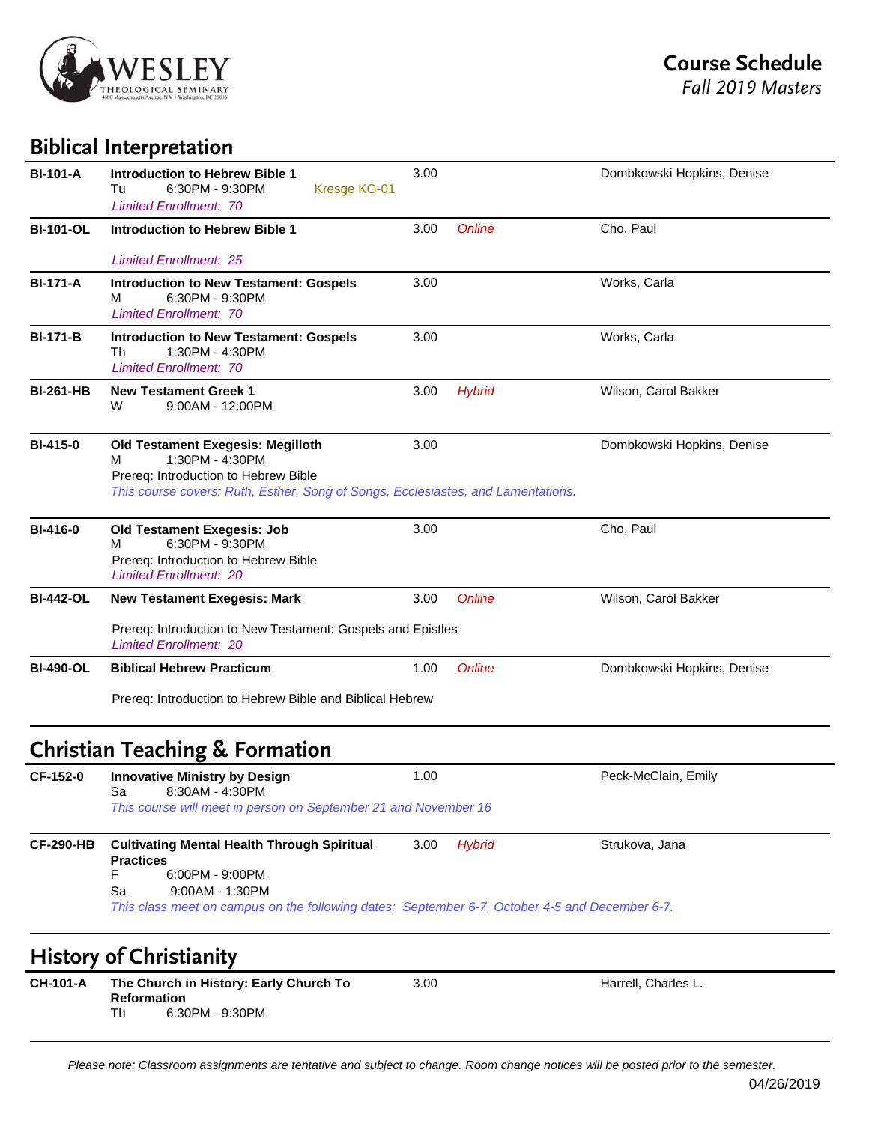

## **Biblical Interpretation**

| <b>BI-101-A</b>  | <b>Introduction to Hebrew Bible 1</b><br>6:30PM - 9:30PM<br>Kresge KG-01<br>Tu<br><b>Limited Enrollment: 70</b>                                                                       | 3.00 |               | Dombkowski Hopkins, Denise |
|------------------|---------------------------------------------------------------------------------------------------------------------------------------------------------------------------------------|------|---------------|----------------------------|
| <b>BI-101-OL</b> | <b>Introduction to Hebrew Bible 1</b>                                                                                                                                                 | 3.00 | <b>Online</b> | Cho, Paul                  |
|                  | <b>Limited Enrollment: 25</b>                                                                                                                                                         |      |               |                            |
| <b>BI-171-A</b>  | <b>Introduction to New Testament: Gospels</b><br>6:30PM - 9:30PM<br>м<br><b>Limited Enrollment: 70</b>                                                                                | 3.00 |               | Works, Carla               |
| <b>BI-171-B</b>  | <b>Introduction to New Testament: Gospels</b><br>Th<br>1:30PM - 4:30PM<br><b>Limited Enrollment: 70</b>                                                                               | 3.00 |               | Works, Carla               |
| <b>BI-261-HB</b> | <b>New Testament Greek 1</b><br>9:00AM - 12:00PM<br>W                                                                                                                                 | 3.00 | <b>Hybrid</b> | Wilson, Carol Bakker       |
| <b>BI-415-0</b>  | Old Testament Exegesis: Megilloth<br>1:30PM - 4:30PM<br>м<br>Prereq: Introduction to Hebrew Bible<br>This course covers: Ruth, Esther, Song of Songs, Ecclesiastes, and Lamentations. | 3.00 |               | Dombkowski Hopkins, Denise |
| <b>BI-416-0</b>  | <b>Old Testament Exegesis: Job</b><br>6:30PM - 9:30PM<br>м<br>Prereq: Introduction to Hebrew Bible<br><b>Limited Enrollment: 20</b>                                                   | 3.00 |               | Cho, Paul                  |
| <b>BI-442-OL</b> | <b>New Testament Exegesis: Mark</b>                                                                                                                                                   | 3.00 | <b>Online</b> | Wilson, Carol Bakker       |
|                  | Prereq: Introduction to New Testament: Gospels and Epistles<br><b>Limited Enrollment: 20</b>                                                                                          |      |               |                            |
| <b>BI-490-OL</b> | <b>Biblical Hebrew Practicum</b>                                                                                                                                                      | 1.00 | Online        | Dombkowski Hopkins, Denise |
|                  | Prereq: Introduction to Hebrew Bible and Biblical Hebrew                                                                                                                              |      |               |                            |
|                  | <b>Christian Teaching &amp; Formation</b>                                                                                                                                             |      |               |                            |
| CF-152-0         | <b>Innovative Ministry by Design</b><br>8:30AM - 4:30PM<br>Sa                                                                                                                         | 1.00 |               | Peck-McClain, Emily        |
|                  | This course will meet in person on September 21 and November 16                                                                                                                       |      |               |                            |
| <b>CF-290-HB</b> | <b>Cultivating Mental Health Through Spiritual</b><br><b>Practices</b>                                                                                                                | 3.00 | <b>Hybrid</b> | Strukova, Jana             |
|                  | F<br>6:00PM - 9:00PM<br>Sa<br>9:00AM - 1:30PM<br>This class meet on campus on the following dates: September 6-7, October 4-5 and December 6-7.                                       |      |               |                            |
|                  | <b>History of Christianity</b>                                                                                                                                                        |      |               |                            |
| <b>CH-101-A</b>  | The Church in History: Early Church To<br><b>Reformation</b><br>Th<br>6:30PM - 9:30PM                                                                                                 | 3.00 |               | Harrell, Charles L.        |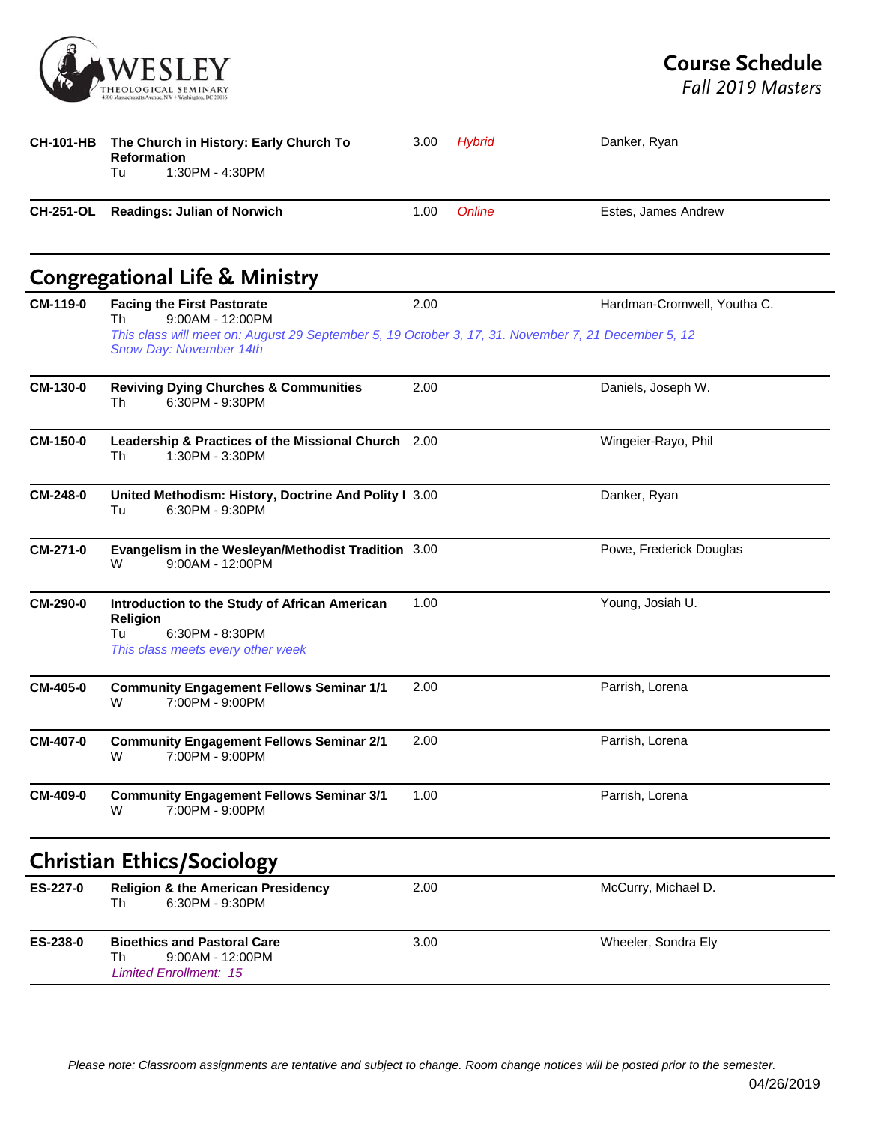

*Fall 2019 Masters*

|                  | CH-101-HB The Church in History: Early Church To<br><b>Reformation</b><br>1:30PM - 4:30PM<br>Tu                                                                                               | 3.00 | Hybrid | Danker, Ryan                |
|------------------|-----------------------------------------------------------------------------------------------------------------------------------------------------------------------------------------------|------|--------|-----------------------------|
| <b>CH-251-OL</b> | <b>Readings: Julian of Norwich</b>                                                                                                                                                            | 1.00 | Online | Estes, James Andrew         |
|                  | <b>Congregational Life &amp; Ministry</b>                                                                                                                                                     |      |        |                             |
| CM-119-0         | <b>Facing the First Pastorate</b><br>9:00AM - 12:00PM<br>Th<br>This class will meet on: August 29 September 5, 19 October 3, 17, 31. November 7, 21 December 5, 12<br>Snow Day: November 14th | 2.00 |        | Hardman-Cromwell, Youtha C. |
| CM-130-0         | <b>Reviving Dying Churches &amp; Communities</b><br>6:30PM - 9:30PM<br>Th                                                                                                                     | 2.00 |        | Daniels, Joseph W.          |
| CM-150-0         | Leadership & Practices of the Missional Church 2.00<br>Th<br>1:30PM - 3:30PM                                                                                                                  |      |        | Wingeier-Rayo, Phil         |
| CM-248-0         | United Methodism: History, Doctrine And Polity I 3.00<br>6:30PM - 9:30PM<br>Tu                                                                                                                |      |        | Danker, Ryan                |
| CM-271-0         | Evangelism in the Wesleyan/Methodist Tradition 3.00<br>9:00AM - 12:00PM<br>W                                                                                                                  |      |        | Powe, Frederick Douglas     |
| CM-290-0         | Introduction to the Study of African American<br>Religion<br>6:30PM - 8:30PM<br>Tu<br>This class meets every other week                                                                       | 1.00 |        | Young, Josiah U.            |
| <b>CM-405-0</b>  | <b>Community Engagement Fellows Seminar 1/1</b><br>7:00PM - 9:00PM<br>W                                                                                                                       | 2.00 |        | Parrish, Lorena             |
| CM-407-0         | <b>Community Engagement Fellows Seminar 2/1</b><br>W<br>7:00PM - 9:00PM                                                                                                                       | 2.00 |        | Parrish, Lorena             |
| CM-409-0         | <b>Community Engagement Fellows Seminar 3/1</b><br>7:00PM - 9:00PM<br>W                                                                                                                       | 1.00 |        | Parrish, Lorena             |
|                  | <b>Christian Ethics/Sociology</b>                                                                                                                                                             |      |        |                             |
| ES-227-0         | <b>Religion &amp; the American Presidency</b><br>6:30PM - 9:30PM<br>Th                                                                                                                        | 2.00 |        | McCurry, Michael D.         |
| ES-238-0         | <b>Bioethics and Pastoral Care</b><br>9:00AM - 12:00PM<br>Th<br><b>Limited Enrollment: 15</b>                                                                                                 | 3.00 |        | Wheeler, Sondra Ely         |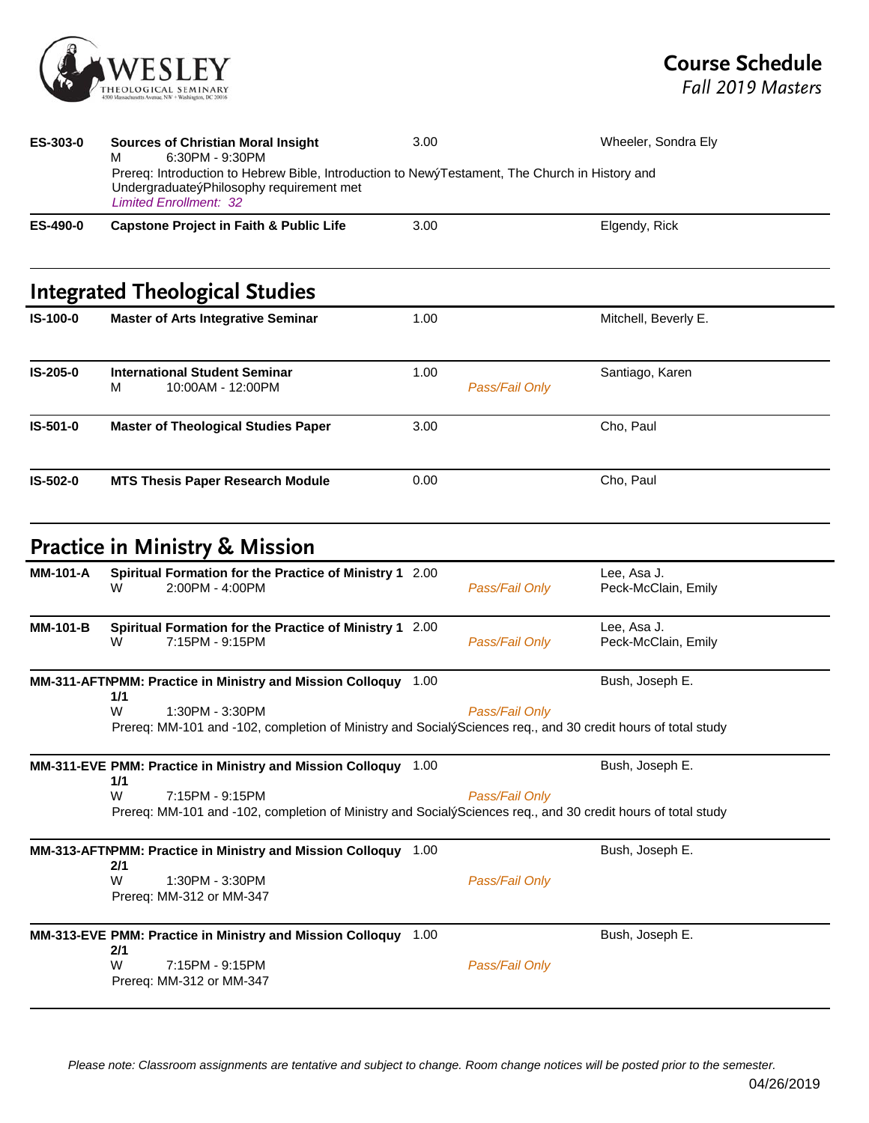

| ES-303-0        | <b>Sources of Christian Moral Insight</b><br>6:30PM - 9:30PM<br>м                                                                                                           | 3.00 |                | Wheeler, Sondra Ely                |
|-----------------|-----------------------------------------------------------------------------------------------------------------------------------------------------------------------------|------|----------------|------------------------------------|
|                 | Prereq: Introduction to Hebrew Bible, Introduction to NewýTestament, The Church in History and<br>UndergraduateýPhilosophy requirement met<br><b>Limited Enrollment: 32</b> |      |                |                                    |
| ES-490-0        | <b>Capstone Project in Faith &amp; Public Life</b>                                                                                                                          | 3.00 |                | Elgendy, Rick                      |
|                 | <b>Integrated Theological Studies</b>                                                                                                                                       |      |                |                                    |
| IS-100-0        | <b>Master of Arts Integrative Seminar</b>                                                                                                                                   | 1.00 |                | Mitchell, Beverly E.               |
| IS-205-0        | <b>International Student Seminar</b><br>10:00AM - 12:00PM<br>м                                                                                                              | 1.00 | Pass/Fail Only | Santiago, Karen                    |
| IS-501-0        | <b>Master of Theological Studies Paper</b>                                                                                                                                  | 3.00 |                | Cho, Paul                          |
| IS-502-0        | <b>MTS Thesis Paper Research Module</b>                                                                                                                                     | 0.00 |                | Cho, Paul                          |
|                 | <b>Practice in Ministry &amp; Mission</b>                                                                                                                                   |      |                |                                    |
| <b>MM-101-A</b> | Spiritual Formation for the Practice of Ministry 1 2.00<br>2:00PM - 4:00PM<br>W                                                                                             |      | Pass/Fail Only | Lee, Asa J.<br>Peck-McClain, Emily |
| <b>MM-101-B</b> | Spiritual Formation for the Practice of Ministry 1 2.00<br>7:15PM - 9:15PM<br>W                                                                                             |      | Pass/Fail Only | Lee, Asa J.<br>Peck-McClain, Emily |
|                 | MM-311-AFTNPMM: Practice in Ministry and Mission Colloquy 1.00<br>1/1                                                                                                       |      |                | Bush, Joseph E.                    |
|                 | 1:30PM - 3:30PM<br>W<br>Prereq: MM-101 and -102, completion of Ministry and SocialýSciences req., and 30 credit hours of total study                                        |      | Pass/Fail Only |                                    |
|                 | MM-311-EVE PMM: Practice in Ministry and Mission Colloquy 1.00<br>1/1                                                                                                       |      |                | Bush, Joseph E.                    |
|                 | W<br>7:15PM - 9:15PM<br>Prereq: MM-101 and -102, completion of Ministry and SocialýSciences req., and 30 credit hours of total study                                        |      | Pass/Fail Only |                                    |
|                 | MM-313-AFTNPMM: Practice in Ministry and Mission Colloquy 1.00<br>2/1                                                                                                       |      |                | Bush, Joseph E.                    |
|                 | W<br>1:30PM - 3:30PM<br>Prereq: MM-312 or MM-347                                                                                                                            |      | Pass/Fail Only |                                    |
|                 | MM-313-EVE PMM: Practice in Ministry and Mission Colloquy 1.00<br>2/1                                                                                                       |      |                | Bush, Joseph E.                    |
|                 | W<br>7:15PM - 9:15PM<br>Prereq: MM-312 or MM-347                                                                                                                            |      | Pass/Fail Only |                                    |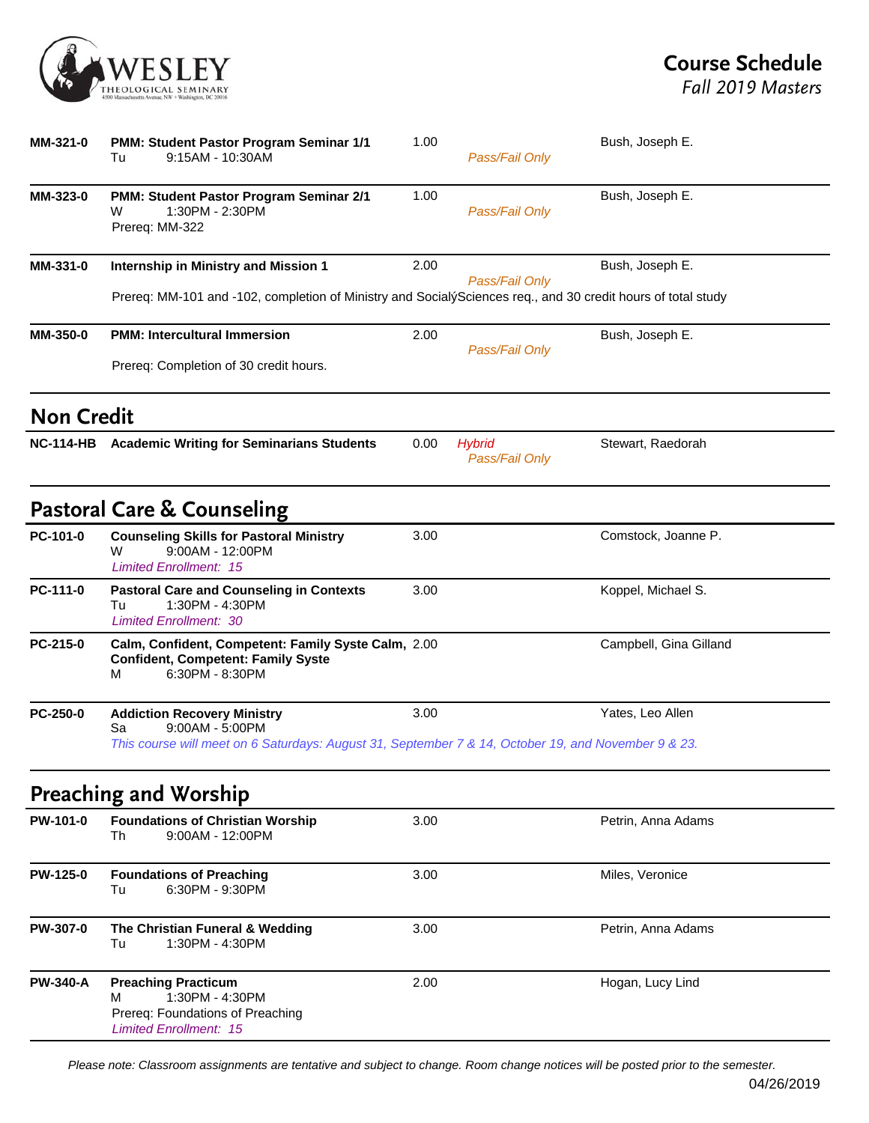

*Fall 2019 Masters*

| MM-321-0          | <b>PMM: Student Pastor Program Seminar 1/1</b><br>9:15AM - 10:30AM<br>Tu                                                                                           | 1.00 | Pass/Fail Only                  | Bush, Joseph E.        |
|-------------------|--------------------------------------------------------------------------------------------------------------------------------------------------------------------|------|---------------------------------|------------------------|
| MM-323-0          | PMM: Student Pastor Program Seminar 2/1<br>1:30PM - 2:30PM<br>w<br>Prereq: MM-322                                                                                  | 1.00 | Pass/Fail Only                  | Bush, Joseph E.        |
| MM-331-0          | Internship in Ministry and Mission 1                                                                                                                               | 2.00 | Pass/Fail Only                  | Bush, Joseph E.        |
|                   | Prereq: MM-101 and -102, completion of Ministry and SocialýSciences req., and 30 credit hours of total study                                                       |      |                                 |                        |
| MM-350-0          | <b>PMM: Intercultural Immersion</b>                                                                                                                                | 2.00 | Pass/Fail Only                  | Bush, Joseph E.        |
|                   | Prereq: Completion of 30 credit hours.                                                                                                                             |      |                                 |                        |
| <b>Non Credit</b> |                                                                                                                                                                    |      |                                 |                        |
|                   | NC-114-HB Academic Writing for Seminarians Students                                                                                                                | 0.00 | <b>Hybrid</b><br>Pass/Fail Only | Stewart, Raedorah      |
|                   | <b>Pastoral Care &amp; Counseling</b>                                                                                                                              |      |                                 |                        |
| PC-101-0          | <b>Counseling Skills for Pastoral Ministry</b><br>9:00AM - 12:00PM<br>w<br><b>Limited Enrollment: 15</b>                                                           | 3.00 |                                 | Comstock, Joanne P.    |
| PC-111-0          | <b>Pastoral Care and Counseling in Contexts</b><br>1:30PM - 4:30PM<br>Tu<br><b>Limited Enrollment: 30</b>                                                          | 3.00 |                                 | Koppel, Michael S.     |
| PC-215-0          | Calm, Confident, Competent: Family Syste Calm, 2.00<br><b>Confident, Competent: Family Syste</b><br>6:30PM - 8:30PM<br>М                                           |      |                                 | Campbell, Gina Gilland |
| PC-250-0          | <b>Addiction Recovery Ministry</b><br>9:00AM - 5:00PM<br>Sa<br>This course will meet on 6 Saturdays: August 31, September 7 & 14, October 19, and November 9 & 23. | 3.00 |                                 | Yates, Leo Allen       |
|                   | <b>Preaching and Worship</b>                                                                                                                                       |      |                                 |                        |
| PW-101-0          | <b>Foundations of Christian Worship</b><br>$9:00AM - 12:00PM$<br>Th                                                                                                | 3.00 |                                 | Petrin, Anna Adams     |
| <b>PW-125-0</b>   | <b>Foundations of Preaching</b><br>6:30PM - 9:30PM<br>Tu                                                                                                           | 3.00 |                                 | Miles, Veronice        |
| PW-307-0          | The Christian Funeral & Wedding<br>1:30PM - 4:30PM<br>Tu                                                                                                           | 3.00 |                                 | Petrin, Anna Adams     |
| <b>PW-340-A</b>   | <b>Preaching Practicum</b><br>1:30PM - 4:30PM<br>м<br>Prereq: Foundations of Preaching<br><b>Limited Enrollment: 15</b>                                            | 2.00 |                                 | Hogan, Lucy Lind       |

*Please note: Classroom assignments are tentative and subject to change. Room change notices will be posted prior to the semester.*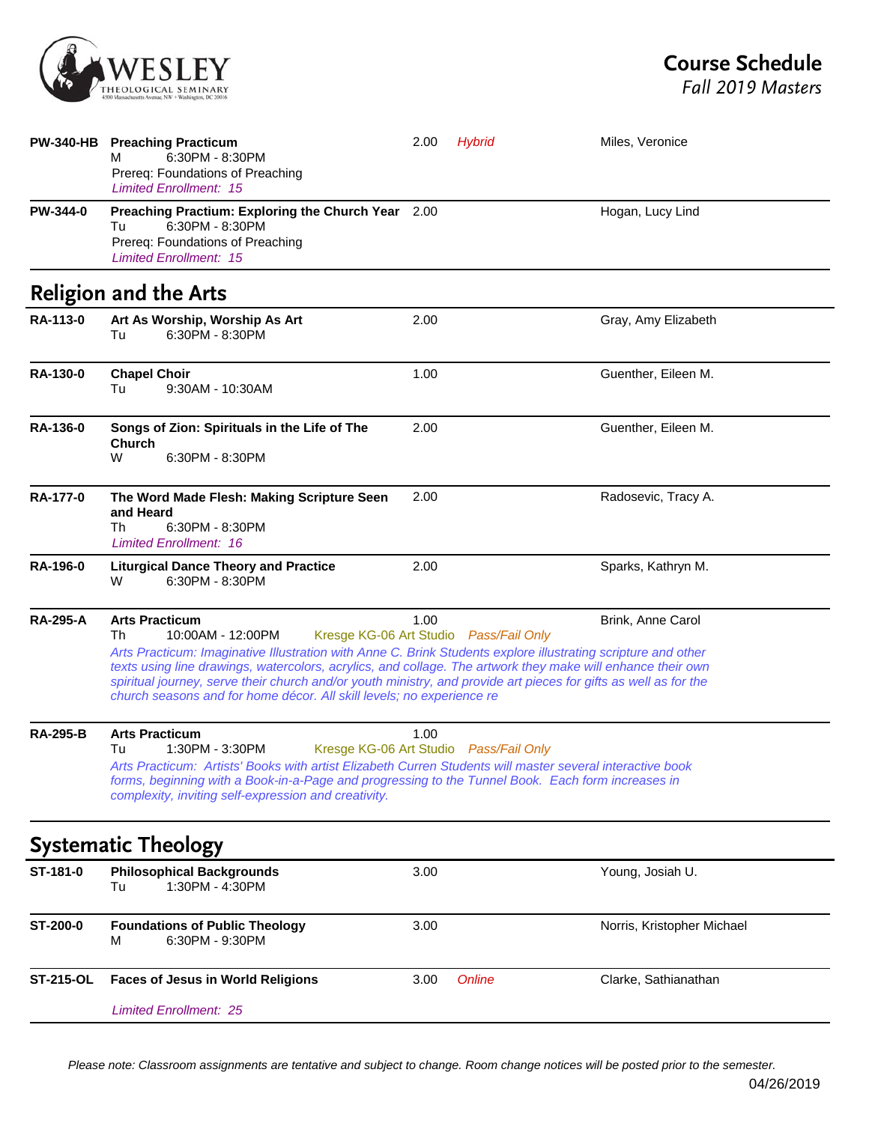

*Fall 2019 Masters*

|                  | PW-340-HB Preaching Practicum<br>6:30PM - 8:30PM<br>м<br>Prereq: Foundations of Preaching<br><b>Limited Enrollment: 15</b>                                                                                                                                                                                                                                                                                                                                                                                              | 2.00 | <b>Hybrid</b> | Miles, Veronice            |
|------------------|-------------------------------------------------------------------------------------------------------------------------------------------------------------------------------------------------------------------------------------------------------------------------------------------------------------------------------------------------------------------------------------------------------------------------------------------------------------------------------------------------------------------------|------|---------------|----------------------------|
| <b>PW-344-0</b>  | Preaching Practium: Exploring the Church Year 2.00<br>6:30PM - 8:30PM<br>Tu<br>Prereq: Foundations of Preaching<br><b>Limited Enrollment: 15</b>                                                                                                                                                                                                                                                                                                                                                                        |      |               | Hogan, Lucy Lind           |
|                  | <b>Religion and the Arts</b>                                                                                                                                                                                                                                                                                                                                                                                                                                                                                            |      |               |                            |
| RA-113-0         | Art As Worship, Worship As Art<br>6:30PM - 8:30PM<br>Tu                                                                                                                                                                                                                                                                                                                                                                                                                                                                 | 2.00 |               | Gray, Amy Elizabeth        |
| RA-130-0         | <b>Chapel Choir</b><br>9:30AM - 10:30AM<br>Tu                                                                                                                                                                                                                                                                                                                                                                                                                                                                           | 1.00 |               | Guenther, Eileen M.        |
| <b>RA-136-0</b>  | Songs of Zion: Spirituals in the Life of The<br><b>Church</b><br>W<br>6:30PM - 8:30PM                                                                                                                                                                                                                                                                                                                                                                                                                                   | 2.00 |               | Guenther, Eileen M.        |
| <b>RA-177-0</b>  | The Word Made Flesh: Making Scripture Seen<br>and Heard<br>6:30PM - 8:30PM<br>Th<br><b>Limited Enrollment: 16</b>                                                                                                                                                                                                                                                                                                                                                                                                       | 2.00 |               | Radosevic, Tracy A.        |
| <b>RA-196-0</b>  | <b>Liturgical Dance Theory and Practice</b><br>6:30PM - 8:30PM<br>W                                                                                                                                                                                                                                                                                                                                                                                                                                                     | 2.00 |               | Sparks, Kathryn M.         |
| <b>RA-295-A</b>  | <b>Arts Practicum</b><br>10:00AM - 12:00PM<br>Kresge KG-06 Art Studio Pass/Fail Only<br>Th<br>Arts Practicum: Imaginative Illustration with Anne C. Brink Students explore illustrating scripture and other<br>texts using line drawings, watercolors, acrylics, and collage. The artwork they make will enhance their own<br>spiritual journey, serve their church and/or youth ministry, and provide art pieces for gifts as well as for the<br>church seasons and for home décor. All skill levels; no experience re | 1.00 |               | Brink, Anne Carol          |
| <b>RA-295-B</b>  | <b>Arts Practicum</b><br>1:30PM - 3:30PM<br>Kresge KG-06 Art Studio Pass/Fail Only<br>Tu<br>Arts Practicum: Artists' Books with artist Elizabeth Curren Students will master several interactive book<br>forms, beginning with a Book-in-a-Page and progressing to the Tunnel Book. Each form increases in<br>complexity, inviting self-expression and creativity.                                                                                                                                                      | 1.00 |               |                            |
|                  | <b>Systematic Theology</b>                                                                                                                                                                                                                                                                                                                                                                                                                                                                                              |      |               |                            |
| ST-181-0         | <b>Philosophical Backgrounds</b><br>1:30PM - 4:30PM<br>Tu                                                                                                                                                                                                                                                                                                                                                                                                                                                               | 3.00 |               | Young, Josiah U.           |
| ST-200-0         | <b>Foundations of Public Theology</b><br>6:30PM - 9:30PM<br>м                                                                                                                                                                                                                                                                                                                                                                                                                                                           | 3.00 |               | Norris, Kristopher Michael |
| <b>ST-215-OL</b> | <b>Faces of Jesus in World Religions</b>                                                                                                                                                                                                                                                                                                                                                                                                                                                                                | 3.00 | Online        | Clarke, Sathianathan       |
|                  | <b>Limited Enrollment: 25</b>                                                                                                                                                                                                                                                                                                                                                                                                                                                                                           |      |               |                            |